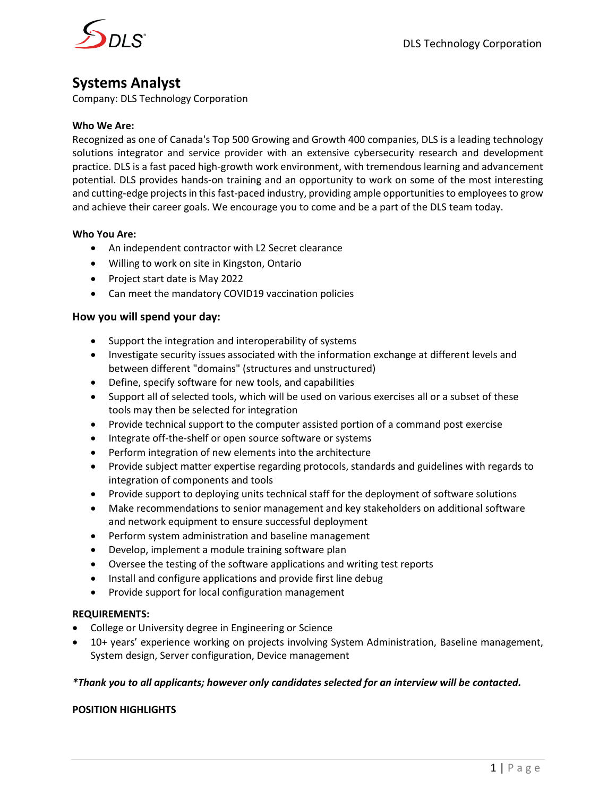

# **Systems Analyst**

Company: DLS Technology Corporation

## **Who We Are:**

Recognized as one of Canada's Top 500 Growing and Growth 400 companies, DLS is a leading technology solutions integrator and service provider with an extensive cybersecurity research and development practice. DLS is a fast paced high-growth work environment, with tremendous learning and advancement potential. DLS provides hands-on training and an opportunity to work on some of the most interesting and cutting-edge projects in this fast-paced industry, providing ample opportunities to employees to grow and achieve their career goals. We encourage you to come and be a part of the DLS team today.

## **Who You Are:**

- An independent contractor with L2 Secret clearance
- Willing to work on site in Kingston, Ontario
- Project start date is May 2022
- Can meet the mandatory COVID19 vaccination policies

## **How you will spend your day:**

- Support the integration and interoperability of systems
- Investigate security issues associated with the information exchange at different levels and between different "domains" (structures and unstructured)
- Define, specify software for new tools, and capabilities
- Support all of selected tools, which will be used on various exercises all or a subset of these tools may then be selected for integration
- Provide technical support to the computer assisted portion of a command post exercise
- Integrate off-the-shelf or open source software or systems
- Perform integration of new elements into the architecture
- Provide subject matter expertise regarding protocols, standards and guidelines with regards to integration of components and tools
- Provide support to deploying units technical staff for the deployment of software solutions
- Make recommendations to senior management and key stakeholders on additional software and network equipment to ensure successful deployment
- Perform system administration and baseline management
- Develop, implement a module training software plan
- Oversee the testing of the software applications and writing test reports
- Install and configure applications and provide first line debug
- Provide support for local configuration management

## **REQUIREMENTS:**

- College or University degree in Engineering or Science
- 10+ years' experience working on projects involving System Administration, Baseline management, System design, Server configuration, Device management

## *\*Thank you to all applicants; however only candidates selected for an interview will be contacted.*

## **POSITION HIGHLIGHTS**